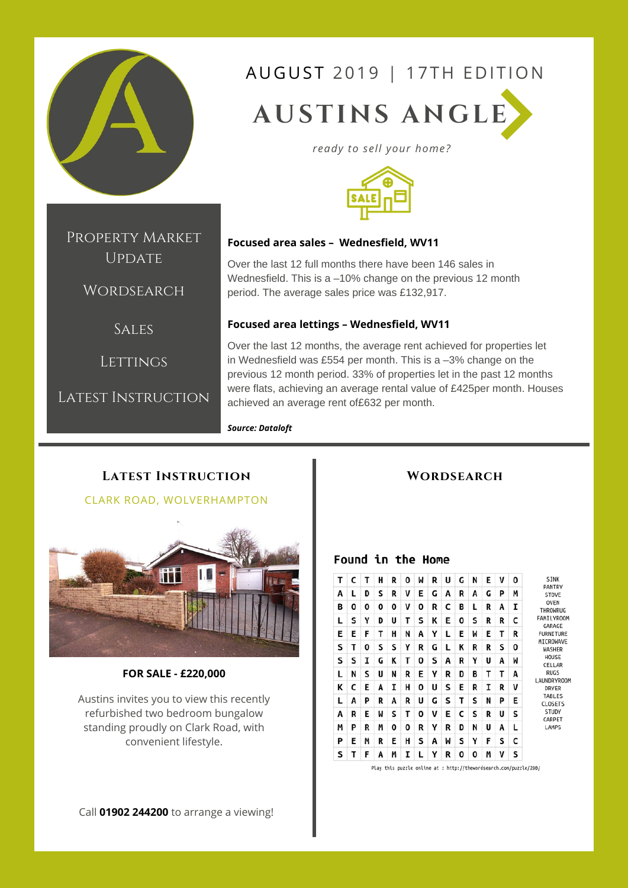

Property Market UPDATE

**WORDSEARCH** 

**SALES** 

LETTINGS

Latest Instruction

# AUGUST 2019 | 17TH EDITION

**AUSTINS ANGLE**

*ready to sell your home?*



#### **Focused area sales – Wednesfield, WV11**

Over the last 12 full months there have been 146 sales in Wednesfield. This is a –10% change on the previous 12 month period. The average sales price was £132,917.

#### **Focused area lettings – Wednesfield, WV11**

Over the last 12 months, the average rent achieved for properties let in Wednesfield was £554 per month. This is a –3% change on the previous 12 month period. 33% of properties let in the past 12 months were flats, achieving an average rental value of £425per month. Houses achieved an average rent of£632 per month.

#### *Source: Dataloft*

# **Latest Instruction** CLARK ROAD, WOLVERHAMPTON

#### **FOR SALE - £220,000**

Austins invites you to view this recently refurbished two bedroom bungalow standing proudly on Clark Road, with convenient lifestyle.

#### **Wordsearch**

#### Found in the Home



Play this puzzle online at : http://thewordsearch.com/puzzle/280/